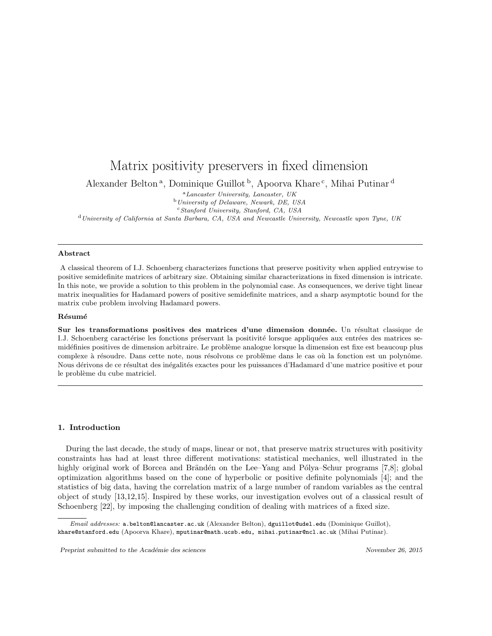# Matrix positivity preservers in fixed dimension

Alexander Belton<sup>a</sup>, Dominique Guillot<sup>b</sup>, Apoorva Khare<sup>c</sup>, Mihai Putinar<sup>d</sup>

<sup>a</sup>Lancaster University, Lancaster, UK

<sup>b</sup>University of Delaware, Newark, DE, USA

 $c$ Stanford University, Stanford, CA, USA

<sup>d</sup>University of California at Santa Barbara, CA, USA and Newcastle University, Newcastle upon Tyne, UK

#### Abstract

A classical theorem of I.J. Schoenberg characterizes functions that preserve positivity when applied entrywise to positive semidefinite matrices of arbitrary size. Obtaining similar characterizations in fixed dimension is intricate. In this note, we provide a solution to this problem in the polynomial case. As consequences, we derive tight linear matrix inequalities for Hadamard powers of positive semidefinite matrices, and a sharp asymptotic bound for the matrix cube problem involving Hadamard powers.

#### Résumé

Sur les transformations positives des matrices d'une dimension donnée. Un résultat classique de I.J. Schoenberg caractérise les fonctions préservant la positivité lorsque appliquées aux entrées des matrices semidéfinies positives de dimension arbitraire. Le problème analogue lorsque la dimension est fixe est beaucoup plus complexe à résoudre. Dans cette note, nous résolvons ce problème dans le cas où la fonction est un polynôme. Nous dérivons de ce résultat des inégalités exactes pour les puissances d'Hadamard d'une matrice positive et pour le problème du cube matriciel.

# 1. Introduction

During the last decade, the study of maps, linear or not, that preserve matrix structures with positivity constraints has had at least three different motivations: statistical mechanics, well illustrated in the highly original work of Borcea and Brändén on the Lee–Yang and Pólya–Schur programs [7,8]; global optimization algorithms based on the cone of hyperbolic or positive definite polynomials [4]; and the statistics of big data, having the correlation matrix of a large number of random variables as the central object of study [13,12,15]. Inspired by these works, our investigation evolves out of a classical result of Schoenberg [22], by imposing the challenging condition of dealing with matrices of a fixed size.

Email addresses: a.belton@lancaster.ac.uk (Alexander Belton), dguillot@udel.edu (Dominique Guillot), khare@stanford.edu (Apoorva Khare), mputinar@math.ucsb.edu, mihai.putinar@ncl.ac.uk (Mihai Putinar).

Preprint submitted to the Académie des sciences November 26, 2015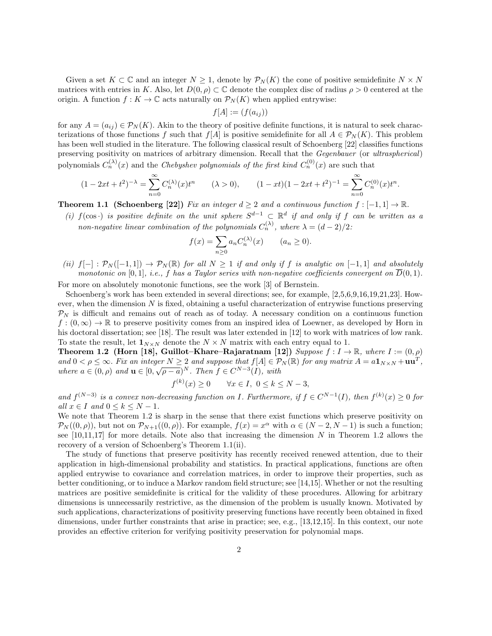Given a set  $K \subset \mathbb{C}$  and an integer  $N \geq 1$ , denote by  $\mathcal{P}_N(K)$  the cone of positive semidefinite  $N \times N$ matrices with entries in K. Also, let  $D(0, \rho) \subset \mathbb{C}$  denote the complex disc of radius  $\rho > 0$  centered at the origin. A function  $f: K \to \mathbb{C}$  acts naturally on  $\mathcal{P}_N(K)$  when applied entrywise:

$$
f[A] := (f(a_{ij}))
$$

for any  $A = (a_{ij}) \in \mathcal{P}_N(K)$ . Akin to the theory of positive definite functions, it is natural to seek characterizations of those functions f such that  $f[A]$  is positive semidefinite for all  $A \in \mathcal{P}_N(K)$ . This problem has been well studied in the literature. The following classical result of Schoenberg [22] classifies functions preserving positivity on matrices of arbitrary dimension. Recall that the Gegenbauer (or ultraspherical) polynomials  $C_n^{(\lambda)}(x)$  and the *Chebyshev polynomials of the first kind*  $C_n^{(0)}(x)$  are such that

$$
(1 - 2xt + t2)-λ = \sum_{n=0}^{\infty} C_n^{(λ)}(x)tn \qquad (λ > 0), \qquad (1 - xt)(1 - 2xt + t2)-1 = \sum_{n=0}^{\infty} C_n^{(0)}(x)tn.
$$

**Theorem 1.1 (Schoenberg [22])** Fix an integer  $d \geq 2$  and a continuous function  $f: [-1, 1] \to \mathbb{R}$ .

(i)  $f(\cos \cdot)$  is positive definite on the unit sphere  $S^{d-1} \subset \mathbb{R}^d$  if and only if f can be written as a non-negative linear combination of the polynomials  $C_n^{(\lambda)}$ , where  $\lambda = (d-2)/2$ :

$$
f(x) = \sum_{n \ge 0} a_n C_n^{(\lambda)}(x) \qquad (a_n \ge 0).
$$

(ii)  $f[-]: \mathcal{P}_N([-1,1]) \to \mathcal{P}_N(\mathbb{R})$  for all  $N \geq 1$  if and only if f is analytic on  $[-1,1]$  and absolutely monotonic on [0, 1], i.e., f has a Taylor series with non-negative coefficients convergent on  $\overline{D}(0,1)$ .

For more on absolutely monotonic functions, see the work [3] of Bernstein.

Schoenberg's work has been extended in several directions; see, for example, [2,5,6,9,16,19,21,23]. However, when the dimension  $N$  is fixed, obtaining a useful characterization of entrywise functions preserving  $\mathcal{P}_N$  is difficult and remains out of reach as of today. A necessary condition on a continuous function  $f:(0,\infty)\to\mathbb{R}$  to preserve positivity comes from an inspired idea of Loewner, as developed by Horn in his doctoral dissertation; see [18]. The result was later extended in [12] to work with matrices of low rank. To state the result, let  $\mathbf{1}_{N\times N}$  denote the  $N\times N$  matrix with each entry equal to 1.

Theorem 1.2 (Horn [18], Guillot–Khare–Rajaratnam [12]) Suppose  $f: I \to \mathbb{R}$ , where  $I := (0, \rho)$ and  $0 < \rho \leq \infty$ . Fix an integer  $N \geq 2$  and suppose that  $f[A] \in \mathcal{P}_N(\mathbb{R})$  for any matrix  $A = a\mathbf{1}_{N \times N} + \mathbf{u}\mathbf{u}^T$ , where  $a \in (0, \rho)$  and  $\mathbf{u} \in [0, \sqrt{\rho - a}]^N$ . Then  $f \in C^{N-3}(I)$ , with

$$
f^{(k)}(x) \ge 0 \qquad \forall x \in I, \ 0 \le k \le N-3,
$$

and  $f^{(N-3)}$  is a convex non-decreasing function on I. Furthermore, if  $f \in C^{N-1}(I)$ , then  $f^{(k)}(x) \ge 0$  for all  $x \in I$  and  $0 \leq k \leq N-1$ .

We note that Theorem 1.2 is sharp in the sense that there exist functions which preserve positivity on  $\mathcal{P}_N((0,\rho))$ , but not on  $\mathcal{P}_{N+1}((0,\rho))$ . For example,  $f(x) = x^{\alpha}$  with  $\alpha \in (N-2, N-1)$  is such a function; see  $[10,11,17]$  for more details. Note also that increasing the dimension N in Theorem 1.2 allows the recovery of a version of Schoenberg's Theorem 1.1(ii).

The study of functions that preserve positivity has recently received renewed attention, due to their application in high-dimensional probability and statistics. In practical applications, functions are often applied entrywise to covariance and correlation matrices, in order to improve their properties, such as better conditioning, or to induce a Markov random field structure; see [14,15]. Whether or not the resulting matrices are positive semidefinite is critical for the validity of these procedures. Allowing for arbitrary dimensions is unnecessarily restrictive, as the dimension of the problem is usually known. Motivated by such applications, characterizations of positivity preserving functions have recently been obtained in fixed dimensions, under further constraints that arise in practice; see, e.g., [13,12,15]. In this context, our note provides an effective criterion for verifying positivity preservation for polynomial maps.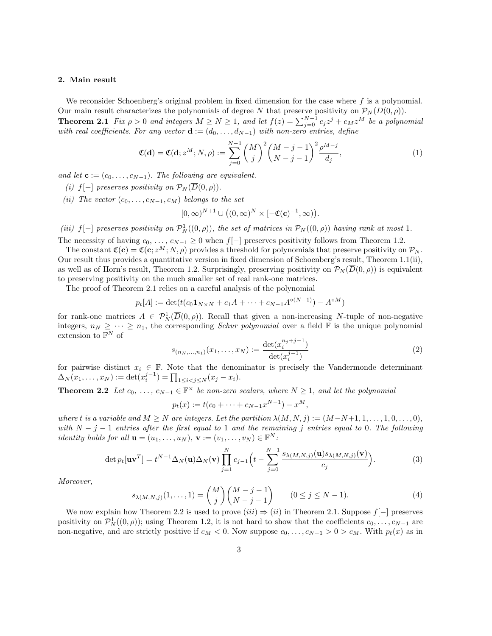## 2. Main result

We reconsider Schoenberg's original problem in fixed dimension for the case where  $f$  is a polynomial. Our main result characterizes the polynomials of degree N that preserve positivity on  $\mathcal{P}_N(\overline{D}(0,\rho)).$ 

**Theorem 2.1** Fix  $\rho > 0$  and integers  $M \ge N \ge 1$ , and let  $f(z) = \sum_{j=0}^{N-1} c_j z^j + c_M z^M$  be a polynomial with real coefficients. For any vector  $\mathbf{d} := (d_0, \ldots, d_{N-1})$  with non-zero entries, define

$$
\mathfrak{C}(\mathbf{d}) = \mathfrak{C}(\mathbf{d}; z^M; N, \rho) := \sum_{j=0}^{N-1} {M \choose j}^2 {M-j-1 \choose N-j-1}^2 \frac{\rho^{M-j}}{d_j},
$$
\n(1)

and let  $\mathbf{c} := (c_0, \ldots, c_{N-1})$ . The following are equivalent.

- (i) f[-] preserves positivity on  $\mathcal{P}_N(\overline{D}(0,\rho)).$
- (ii) The vector  $(c_0, \ldots, c_{N-1}, c_M)$  belongs to the set

$$
[0,\infty)^{N+1} \cup ((0,\infty)^N \times [-\mathfrak{C}(\mathbf{c})^{-1},\infty))
$$

(iii)  $f[-]$  preserves positivity on  $\mathcal{P}_N^1((0,\rho))$ , the set of matrices in  $\mathcal{P}_N((0,\rho))$  having rank at most 1. The necessity of having  $c_0, \ldots, c_{N-1} \geq 0$  when  $f[-]$  preserves positivity follows from Theorem 1.2.

The constant  $\mathfrak{C}(\mathbf{c}) = \mathfrak{C}(\mathbf{c}; z^M; N, \rho)$  provides a threshold for polynomials that preserve positivity on  $\mathcal{P}_N$ . Our result thus provides a quantitative version in fixed dimension of Schoenberg's result, Theorem 1.1(ii), as well as of Horn's result, Theorem 1.2. Surprisingly, preserving positivity on  $\mathcal{P}_N(\overline{D}(0,\rho))$  is equivalent to preserving positivity on the much smaller set of real rank-one matrices.

The proof of Theorem 2.1 relies on a careful analysis of the polynomial

$$
p_t[A] := \det(t(c_0 \mathbf{1}_{N \times N} + c_1 A + \dots + c_{N-1} A^{\circ(N-1)}) - A^{\circ M})
$$

for rank-one matrices  $A \in \mathcal{P}_N^1(\overline{D}(0,\rho))$ . Recall that given a non-increasing N-tuple of non-negative integers,  $n_N \geq \cdots \geq n_1$ , the corresponding *Schur polynomial* over a field  $\mathbb F$  is the unique polynomial extension to  $\mathbb{F}^N$  of

$$
s_{(n_N,\ldots,n_1)}(x_1,\ldots,x_N) := \frac{\det(x_i^{n_j+j-1})}{\det(x_i^{j-1})}
$$
\n(2)

.

for pairwise distinct  $x_i \in \mathbb{F}$ . Note that the denominator is precisely the Vandermonde determinant  $\Delta_N(x_1,...,x_N) := \det(x_i^{j-1}) = \prod_{1 \le i < j \le N} (x_j - x_i).$ 

**Theorem 2.2** Let  $c_0, \ldots, c_{N-1} \in \mathbb{F}^\times$  be non-zero scalars, where  $N \geq 1$ , and let the polynomial

$$
p_t(x) := t(c_0 + \dots + c_{N-1}x^{N-1}) - x^M,
$$

where t is a variable and  $M \geq N$  are integers. Let the partition  $\lambda(M, N, j) := (M - N + 1, 1, \ldots, 1, 0, \ldots, 0)$ , with  $N-j-1$  entries after the first equal to 1 and the remaining j entries equal to 0. The following *identity holds for all*  $\mathbf{u} = (u_1, \ldots, u_N), \mathbf{v} := (v_1, \ldots, v_N) \in \mathbb{F}^N$ :

$$
\det p_t[\mathbf{u}\mathbf{v}^T] = t^{N-1}\Delta_N(\mathbf{u})\Delta_N(\mathbf{v})\prod_{j=1}^N c_{j-1}\Big(t-\sum_{j=0}^{N-1}\frac{s_{\lambda(M,N,j)}(\mathbf{u})s_{\lambda(M,N,j)}(\mathbf{v})}{c_j}\Big). \tag{3}
$$

Moreover,

$$
s_{\lambda(M,N,j)}(1,\ldots,1) = {M \choose j} {M-j-1 \choose N-j-1} \qquad (0 \le j \le N-1).
$$
 (4)

We now explain how Theorem 2.2 is used to prove  $(iii) \Rightarrow (ii)$  in Theorem 2.1. Suppose  $f[-]$  preserves positivity on  $\mathcal{P}_N^1((0,\rho))$ ; using Theorem 1.2, it is not hard to show that the coefficients  $c_0, \ldots, c_{N-1}$  are non-negative, and are strictly positive if  $c_M < 0$ . Now suppose  $c_0, \ldots, c_{N-1} > 0 > c_M$ . With  $p_t(x)$  as in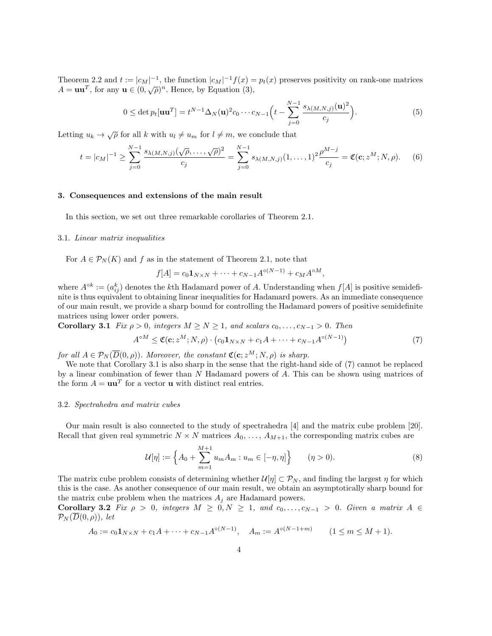Theorem 2.2 and  $t := |c_M|^{-1}$ , the function  $|c_M|^{-1} f(x) = p_t(x)$  preserves positivity on rank-one matrices  $A = \mathbf{u}\mathbf{u}^T$ , for any  $\mathbf{u} \in (0, \sqrt{\rho})^n$ . Hence, by Equation (3),

$$
0 \le \det p_t[\mathbf{u}\mathbf{u}^T] = t^{N-1} \Delta_N(\mathbf{u})^2 c_0 \cdots c_{N-1} \left( t - \sum_{j=0}^{N-1} \frac{s_{\lambda(M,N,j)}(\mathbf{u})^2}{c_j} \right).
$$
 (5)

Letting  $u_k \to \sqrt{\rho}$  for all k with  $u_l \neq u_m$  for  $l \neq m$ , we conclude that

$$
t = |c_M|^{-1} \ge \sum_{j=0}^{N-1} \frac{s_{\lambda(M,N,j)}(\sqrt{\rho}, \dots, \sqrt{\rho})^2}{c_j} = \sum_{j=0}^{N-1} s_{\lambda(M,N,j)}(1, \dots, 1)^2 \frac{\rho^{M-j}}{c_j} = \mathfrak{C}(\mathbf{c}; z^M; N, \rho).
$$
 (6)

## 3. Consequences and extensions of the main result

In this section, we set out three remarkable corollaries of Theorem 2.1.

# 3.1. Linear matrix inequalities

For  $A \in \mathcal{P}_N(K)$  and f as in the statement of Theorem 2.1, note that

$$
f[A] = c_0 \mathbf{1}_{N \times N} + \dots + c_{N-1} A^{\circ (N-1)} + c_M A^{\circ M},
$$

where  $A^{\circ k} := (a_{ij}^k)$  denotes the kth Hadamard power of A. Understanding when  $f[A]$  is positive semidefinite is thus equivalent to obtaining linear inequalities for Hadamard powers. As an immediate consequence of our main result, we provide a sharp bound for controlling the Hadamard powers of positive semidefinite matrices using lower order powers.

Corollary 3.1 Fix  $\rho > 0$ , integers  $M \ge N \ge 1$ , and scalars  $c_0, \ldots, c_{N-1} > 0$ . Then

$$
A^{\circ M} \leq \mathfrak{C}(\mathbf{c}; z^M; N, \rho) \cdot \left( c_0 \mathbf{1}_{N \times N} + c_1 A + \dots + c_{N-1} A^{\circ (N-1)} \right) \tag{7}
$$

for all  $A \in \mathcal{P}_N(\overline{D}(0,\rho))$ . Moreover, the constant  $\mathfrak{C}(\mathbf{c}; z^M; N, \rho)$  is sharp.

We note that Corollary 3.1 is also sharp in the sense that the right-hand side of (7) cannot be replaced by a linear combination of fewer than  $N$  Hadamard powers of  $A$ . This can be shown using matrices of the form  $A = \mathbf{u}\mathbf{u}^T$  for a vector **u** with distinct real entries.

#### 3.2. Spectrahedra and matrix cubes

Our main result is also connected to the study of spectrahedra [4] and the matrix cube problem [20]. Recall that given real symmetric  $N \times N$  matrices  $A_0, \ldots, A_{M+1}$ , the corresponding matrix cubes are

$$
\mathcal{U}[\eta] := \left\{ A_0 + \sum_{m=1}^{M+1} u_m A_m : u_m \in [-\eta, \eta] \right\} \qquad (\eta > 0).
$$
 (8)

The matrix cube problem consists of determining whether  $\mathcal{U}[\eta] \subset \mathcal{P}_N$ , and finding the largest  $\eta$  for which this is the case. As another consequence of our main result, we obtain an asymptotically sharp bound for the matrix cube problem when the matrices  $A_j$  are Hadamard powers.

Corollary 3.2 Fix  $\rho > 0$ , integers  $M \geq 0, N \geq 1$ , and  $c_0, \ldots, c_{N-1} > 0$ . Given a matrix  $A \in$  $\mathcal{P}_N(\overline{D}(0,\rho)),$  let

$$
A_0 := c_0 \mathbf{1}_{N \times N} + c_1 A + \dots + c_{N-1} A^{\circ (N-1)}, \quad A_m := A^{\circ (N-1+m)} \qquad (1 \le m \le M+1).
$$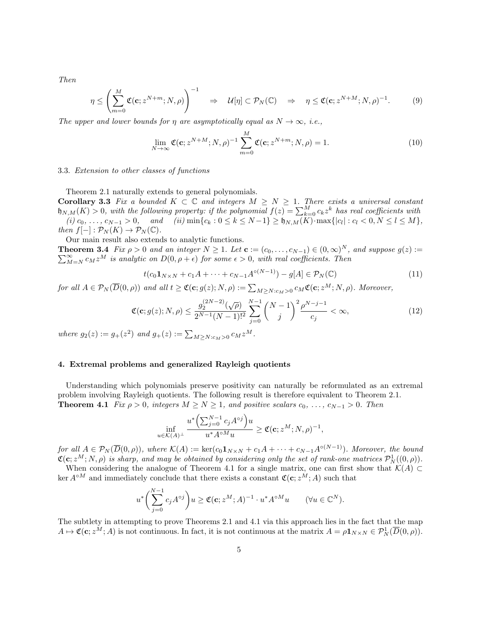Then

$$
\eta \le \left(\sum_{m=0}^M \mathfrak{C}(\mathbf{c}; z^{N+m}; N, \rho)\right)^{-1} \quad \Rightarrow \quad \mathcal{U}[\eta] \subset \mathcal{P}_N(\mathbb{C}) \quad \Rightarrow \quad \eta \le \mathfrak{C}(\mathbf{c}; z^{N+M}; N, \rho)^{-1}.\tag{9}
$$

The upper and lower bounds for  $\eta$  are asymptotically equal as  $N \to \infty$ , i.e.,

$$
\lim_{N \to \infty} \mathfrak{C}(\mathbf{c}; z^{N+M}; N, \rho)^{-1} \sum_{m=0}^{M} \mathfrak{C}(\mathbf{c}; z^{N+m}; N, \rho) = 1.
$$
\n(10)

# 3.3. Extension to other classes of functions

Theorem 2.1 naturally extends to general polynomials.

Corollary 3.3 Fix a bounded  $K \subset \mathbb{C}$  and integers  $M \geq N \geq 1$ . There exists a universal constant  $\mathfrak{h}_{N,M}(K) > 0$ , with the following property: if the polynomial  $f(z) = \sum_{k=0}^{M} c_k z^k$  has real coefficients with  $(i) \ c_0, \ldots, \ c_{N-1} > 0, \quad \text{and} \quad (ii) \min\{c_k : 0 \le k \le N-1\} \ge \mathfrak{h}_{N,M}(K) \cdot \max\{|c_l| : c_l < 0, N \le l \le M\},$ then  $f[-]: \mathcal{P}_N(K) \to \mathcal{P}_N(\mathbb{C}).$ 

Our main result also extends to analytic functions.

**Theorem 3.4** Fix  $\rho > 0$  and an integer  $N \ge 1$ . Let  $\mathbf{c} := (c_0, \ldots, c_{N-1}) \in (0, \infty)^N$ , and suppose  $g(z) :=$  $\sum_{M=N}^{\infty} c_M z^M$  is analytic on  $D(0, \rho + \epsilon)$  for some  $\epsilon > 0$ , with real coefficients. Then

$$
t(c_0 \mathbf{1}_{N \times N} + c_1 A + \dots + c_{N-1} A^{\circ(N-1)}) - g[A] \in \mathcal{P}_N(\mathbb{C})
$$
\n(11)

for all  $A \in \mathcal{P}_N(\overline{D}(0,\rho))$  and all  $t \geq \mathfrak{C}(\mathbf{c};g(z);N,\rho) := \sum_{M \geq N : c_M > 0} c_M \mathfrak{C}(\mathbf{c};z^M;N,\rho)$ . Moreover,

$$
\mathfrak{C}(\mathbf{c}; g(z); N, \rho) \le \frac{g_2^{(2N-2)}(\sqrt{\rho})}{2^{N-1}(N-1)!^2} \sum_{j=0}^{N-1} \binom{N-1}{j}^2 \frac{\rho^{N-j-1}}{c_j} < \infty,\tag{12}
$$

where  $g_2(z) := g_+(z^2)$  and  $g_+(z) := \sum_{M \ge N : c_M > 0} c_M z^M$ .

#### 4. Extremal problems and generalized Rayleigh quotients

Understanding which polynomials preserve positivity can naturally be reformulated as an extremal problem involving Rayleigh quotients. The following result is therefore equivalent to Theorem 2.1. **Theorem 4.1** Fix  $\rho > 0$ , integers  $M \ge N \ge 1$ , and positive scalars  $c_0, \ldots, c_{N-1} > 0$ . Then

$$
\inf_{u \in \mathcal{K}(A)^{\perp}} \frac{u^* \left(\sum_{j=0}^{N-1} c_j A^{\circ j}\right) u}{u^* A^{\circ M} u} \geq \mathfrak{C}(\mathbf{c}; z^M; N, \rho)^{-1},
$$

for all  $A \in \mathcal{P}_N(\overline{D}(0,\rho))$ , where  $\mathcal{K}(A) := \ker(c_0 \mathbf{1}_{N \times N} + c_1 A + \cdots + c_{N-1} A^{\circ(N-1)})$ . Moreover, the bound  $\mathfrak{C}(\mathbf{c}; z^M; N, \rho)$  is sharp, and may be obtained by considering only the set of rank-one matrices  $\mathcal{P}^1_N((0,\rho)).$ 

When considering the analogue of Theorem 4.1 for a single matrix, one can first show that  $K(A) \subset$ ker  $A^{\circ M}$  and immediately conclude that there exists a constant  $\mathfrak{C}(\mathbf{c}; z^M; A)$  such that

$$
u^* \bigg(\sum_{j=0}^{N-1} c_j A^{\circ j}\bigg) u \ge \mathfrak{C}(\mathbf{c}; z^M; A)^{-1} \cdot u^* A^{\circ M} u \qquad (\forall u \in \mathbb{C}^N).
$$

The subtlety in attempting to prove Theorems 2.1 and 4.1 via this approach lies in the fact that the map  $A \mapsto \mathfrak{C}(\mathbf{c}; z^M; A)$  is not continuous. In fact, it is not continuous at the matrix  $A = \rho \mathbf{1}_{N \times N} \in \mathcal{P}_N^1(\overline{D}(0, \rho)).$